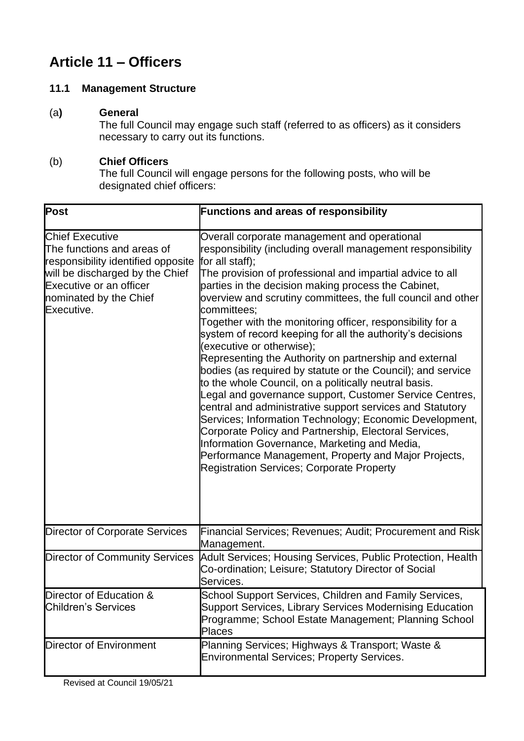# **Article 11 – Officers**

# **11.1 Management Structure**

# (a**) General**

The full Council may engage such staff (referred to as officers) as it considers necessary to carry out its functions.

# (b) **Chief Officers**

The full Council will engage persons for the following posts, who will be designated chief officers:

| <b>Post</b>                                                                                                                                                                                             | <b>Functions and areas of responsibility</b>                                                                                                                                                                                                                                                                                                                                                                                                                                                                                                                                                                                                                                                                                                                                                                                                                                                                                                                                                                                                                                         |
|---------------------------------------------------------------------------------------------------------------------------------------------------------------------------------------------------------|--------------------------------------------------------------------------------------------------------------------------------------------------------------------------------------------------------------------------------------------------------------------------------------------------------------------------------------------------------------------------------------------------------------------------------------------------------------------------------------------------------------------------------------------------------------------------------------------------------------------------------------------------------------------------------------------------------------------------------------------------------------------------------------------------------------------------------------------------------------------------------------------------------------------------------------------------------------------------------------------------------------------------------------------------------------------------------------|
| <b>Chief Executive</b><br>The functions and areas of<br>responsibility identified opposite<br>will be discharged by the Chief<br><b>Executive or an officer</b><br>nominated by the Chief<br>Executive. | Overall corporate management and operational<br>responsibility (including overall management responsibility<br>for all staff);<br>The provision of professional and impartial advice to all<br>parties in the decision making process the Cabinet,<br>overview and scrutiny committees, the full council and other<br>committees;<br>Together with the monitoring officer, responsibility for a<br>system of record keeping for all the authority's decisions<br>(executive or otherwise);<br>Representing the Authority on partnership and external<br>bodies (as required by statute or the Council); and service<br>to the whole Council, on a politically neutral basis.<br>Legal and governance support, Customer Service Centres,<br>central and administrative support services and Statutory<br>Services; Information Technology; Economic Development,<br>Corporate Policy and Partnership, Electoral Services,<br>Information Governance, Marketing and Media,<br>Performance Management, Property and Major Projects,<br><b>Registration Services; Corporate Property</b> |
| Director of Corporate Services                                                                                                                                                                          | Financial Services; Revenues; Audit; Procurement and Risk<br>Management.                                                                                                                                                                                                                                                                                                                                                                                                                                                                                                                                                                                                                                                                                                                                                                                                                                                                                                                                                                                                             |
| <b>Director of Community Services</b>                                                                                                                                                                   | Adult Services; Housing Services, Public Protection, Health<br>Co-ordination; Leisure; Statutory Director of Social<br>Services.                                                                                                                                                                                                                                                                                                                                                                                                                                                                                                                                                                                                                                                                                                                                                                                                                                                                                                                                                     |
| Director of Education &<br><b>Children's Services</b>                                                                                                                                                   | School Support Services, Children and Family Services,<br><b>Support Services, Library Services Modernising Education</b><br>Programme; School Estate Management; Planning School<br><b>Places</b>                                                                                                                                                                                                                                                                                                                                                                                                                                                                                                                                                                                                                                                                                                                                                                                                                                                                                   |
| Director of Environment                                                                                                                                                                                 | Planning Services; Highways & Transport; Waste &<br><b>Environmental Services; Property Services.</b>                                                                                                                                                                                                                                                                                                                                                                                                                                                                                                                                                                                                                                                                                                                                                                                                                                                                                                                                                                                |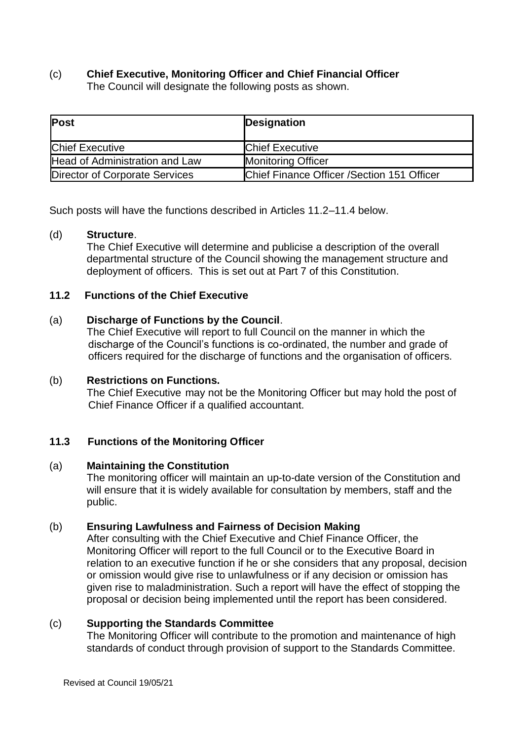# (c) **Chief Executive, Monitoring Officer and Chief Financial Officer**

The Council will designate the following posts as shown.

| <b>Post</b>                    | Designation                                 |
|--------------------------------|---------------------------------------------|
| <b>Chief Executive</b>         | <b>Chief Executive</b>                      |
| Head of Administration and Law | <b>Monitoring Officer</b>                   |
| Director of Corporate Services | Chief Finance Officer / Section 151 Officer |

Such posts will have the functions described in Articles 11.2–11.4 below.

#### (d) **Structure**.

The Chief Executive will determine and publicise a description of the overall departmental structure of the Council showing the management structure and deployment of officers. This is set out at Part 7 of this Constitution.

# **11.2 Functions of the Chief Executive**

#### (a) **Discharge of Functions by the Council**.

The Chief Executive will report to full Council on the manner in which the discharge of the Council's functions is co-ordinated, the number and grade of officers required for the discharge of functions and the organisation of officers.

#### (b) **Restrictions on Functions.**

The Chief Executive may not be the Monitoring Officer but may hold the post of Chief Finance Officer if a qualified accountant.

# **11.3 Functions of the Monitoring Officer**

#### (a) **Maintaining the Constitution**

The monitoring officer will maintain an up-to-date version of the Constitution and will ensure that it is widely available for consultation by members, staff and the public.

#### (b) **Ensuring Lawfulness and Fairness of Decision Making**

After consulting with the Chief Executive and Chief Finance Officer, the Monitoring Officer will report to the full Council or to the Executive Board in relation to an executive function if he or she considers that any proposal, decision or omission would give rise to unlawfulness or if any decision or omission has given rise to maladministration. Such a report will have the effect of stopping the proposal or decision being implemented until the report has been considered.

#### (c) **Supporting the Standards Committee**

The Monitoring Officer will contribute to the promotion and maintenance of high standards of conduct through provision of support to the Standards Committee.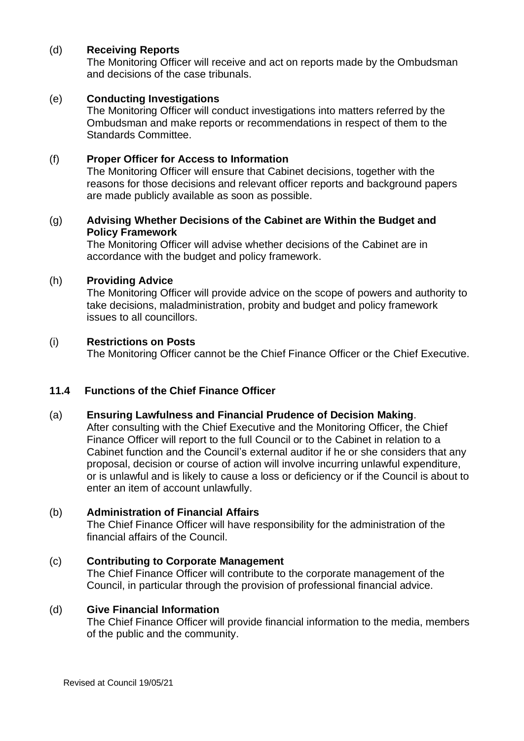#### (d) **Receiving Reports**

The Monitoring Officer will receive and act on reports made by the Ombudsman and decisions of the case tribunals.

#### (e) **Conducting Investigations**

The Monitoring Officer will conduct investigations into matters referred by the Ombudsman and make reports or recommendations in respect of them to the Standards Committee.

#### (f) **Proper Officer for Access to Information**

The Monitoring Officer will ensure that Cabinet decisions, together with the reasons for those decisions and relevant officer reports and background papers are made publicly available as soon as possible.

#### (g) **Advising Whether Decisions of the Cabinet are Within the Budget and Policy Framework**

The Monitoring Officer will advise whether decisions of the Cabinet are in accordance with the budget and policy framework.

#### (h) **Providing Advice**

The Monitoring Officer will provide advice on the scope of powers and authority to take decisions, maladministration, probity and budget and policy framework issues to all councillors.

#### (i) **Restrictions on Posts**

The Monitoring Officer cannot be the Chief Finance Officer or the Chief Executive.

# **11.4 Functions of the Chief Finance Officer**

#### (a) **Ensuring Lawfulness and Financial Prudence of Decision Making**.

After consulting with the Chief Executive and the Monitoring Officer, the Chief Finance Officer will report to the full Council or to the Cabinet in relation to a Cabinet function and the Council's external auditor if he or she considers that any proposal, decision or course of action will involve incurring unlawful expenditure, or is unlawful and is likely to cause a loss or deficiency or if the Council is about to enter an item of account unlawfully.

#### (b) **Administration of Financial Affairs**

The Chief Finance Officer will have responsibility for the administration of the financial affairs of the Council.

# (c) **Contributing to Corporate Management**

The Chief Finance Officer will contribute to the corporate management of the Council, in particular through the provision of professional financial advice.

#### (d) **Give Financial Information**

The Chief Finance Officer will provide financial information to the media, members of the public and the community.